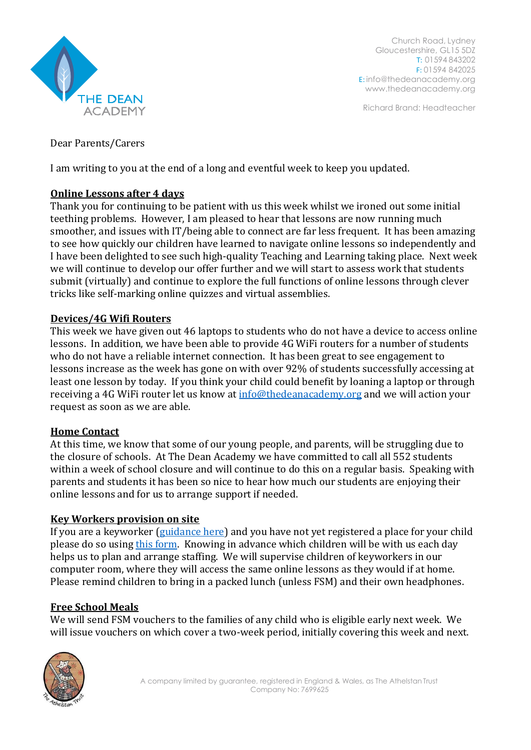

Church Road, Lydney Gloucestershire, GL15 5DZ T: 01594 843202 F: 01594 842025 E: [info@thedeanacademy.org](mailto:info@thedeanacademy.org) [www.thedeanacademy.org](http://www.thedeanacademy.org/)

Richard Brand: Headteacher

Dear Parents/Carers

I am writing to you at the end of a long and eventful week to keep you updated.

# **Online Lessons after 4 days**

Thank you for continuing to be patient with us this week whilst we ironed out some initial teething problems. However, I am pleased to hear that lessons are now running much smoother, and issues with IT/being able to connect are far less frequent. It has been amazing to see how quickly our children have learned to navigate online lessons so independently and I have been delighted to see such high-quality Teaching and Learning taking place. Next week we will continue to develop our offer further and we will start to assess work that students submit (virtually) and continue to explore the full functions of online lessons through clever tricks like self-marking online quizzes and virtual assemblies.

## **Devices/4G Wifi Routers**

This week we have given out 46 laptops to students who do not have a device to access online lessons. In addition, we have been able to provide 4G WiFi routers for a number of students who do not have a reliable internet connection. It has been great to see engagement to lessons increase as the week has gone on with over 92% of students successfully accessing at least one lesson by today. If you think your child could benefit by loaning a laptop or through receiving a 4G WiFi router let us know at [info@thedeanacademy.org](mailto:info@thedeanacademy.org) and we will action your request as soon as we are able.

## **Home Contact**

At this time, we know that some of our young people, and parents, will be struggling due to the closure of schools. At The Dean Academy we have committed to call all 552 students within a week of school closure and will continue to do this on a regular basis. Speaking with parents and students it has been so nice to hear how much our students are enjoying their online lessons and for us to arrange support if needed.

## **Key Workers provision on site**

If you are a keyworker [\(guidance here\)](https://www.gov.uk/government/publications/coronavirus-covid-19-maintaining-educational-provision/guidance-for-schools-colleges-and-local-authorities-on-maintaining-educational-provision) and you have not yet registered a place for your child please do so using [this form.](https://forms.office.com/Pages/ResponsePage.aspx?id=bwmcfx5OQkyVKi6ApblT_bRCAj6ziIxFnYf9s-sjAKZURFlaSFo3NFMwTDhNSjI3VU9YUzYwRDRWWi4u) Knowing in advance which children will be with us each day helps us to plan and arrange staffing. We will supervise children of keyworkers in our computer room, where they will access the same online lessons as they would if at home. Please remind children to bring in a packed lunch (unless FSM) and their own headphones.

## **Free School Meals**

We will send FSM vouchers to the families of any child who is eligible early next week. We will issue vouchers on which cover a two-week period, initially covering this week and next.